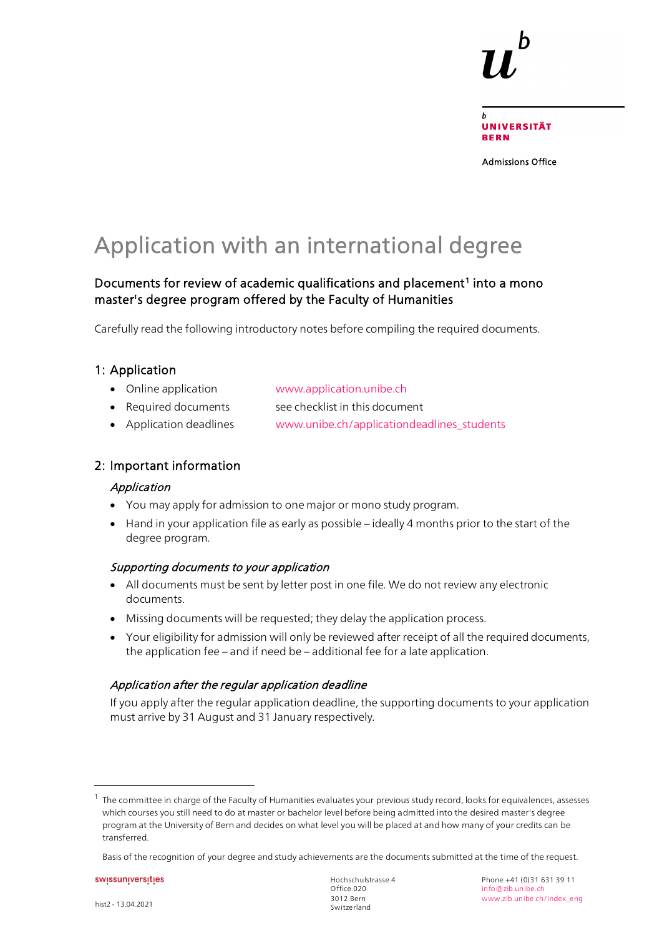

Admissions Office

# Application with an international degree

### Documents for review of academic qualifications and placement<sup>1</sup> into a mono master's degree program offered by the Faculty of Humanities

Carefully read the following introductory notes before compiling the required documents.

### 1: Application

- Online application [www.application.unibe.ch](http://www.application.unibe.ch/)
- Required documents see checklist in this document
- Application deadlines [www.unibe.ch/applicationdeadlines\\_students](https://edit.cms.unibe.ch/unibe/portal/content/studies/dates/students/index_eng.html)

### 2: Important information

#### Application

- You may apply for admission to one major or mono study program.
- Hand in your application file as early as possible ideally 4 months prior to the start of the degree program.

#### Supporting documents to your application

- All documents must be sent by letter post in one file. We do not review any electronic documents.
- Missing documents will be requested; they delay the application process.
- Your eligibility for admission will only be reviewed after receipt of all the required documents, the application fee – and if need be – additional fee for a late application.

#### Application after the regular application deadline

If you apply after the regular application deadline, the supporting documents to your application must arrive by 31 August and 31 January respectively.

 $\overline{a}$ 

<span id="page-0-0"></span><sup>1</sup> The committee in charge of the Faculty of Humanities evaluates your previous study record, looks for equivalences, assesses which courses you still need to do at master or bachelor level before being admitted into the desired master's degree program at the University of Bern and decides on what level you will be placed at and how many of your credits can be transferred.

Basis of the recognition of your degree and study achievements are the documents submitted at the time of the request.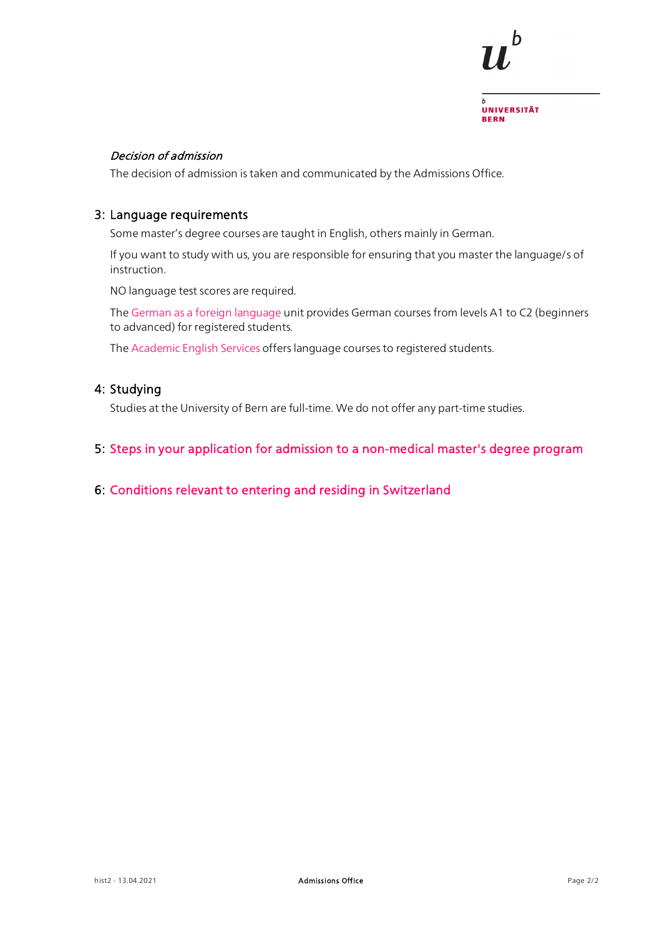

#### Decision of admission

The decision of admission is taken and communicated by the Admissions Office.

#### 3: Language requirements

Some master's degree courses are taught in English, others mainly in German.

If you want to study with us, you are responsible for ensuring that you master the language/s of instruction.

NO language test scores are required.

The [German as a foreign language](https://www.unibe.ch/studies/programs/language_courses/daf/index_eng.html) unit provides German courses from levels A1 to C2 (beginners to advanced) for registered students.

The [Academic English Services](https://edit.cms.unibe.ch/unibe/portal/content/studies/degree_programs/language_courses/aes/index_eng.html) offers language courses to registered students.

### 4: Studying

Studies at the University of Bern are full-time. We do not offer any part-time studies.

#### 5: [Steps in your application for admission to a non-medical master's degree program](https://edit.cms.unibe.ch/unibe/portal/content/e1006/e1029/e1041/e1046/e110496/e244228/Master_eng.pdf)

#### 6: [Conditions relevant to entering and residing in Switzerland](https://www.unibe.ch/studies/mobility/incoming/general_information/einreise_und_aufenthaltsbestimmungen/index_eng.html)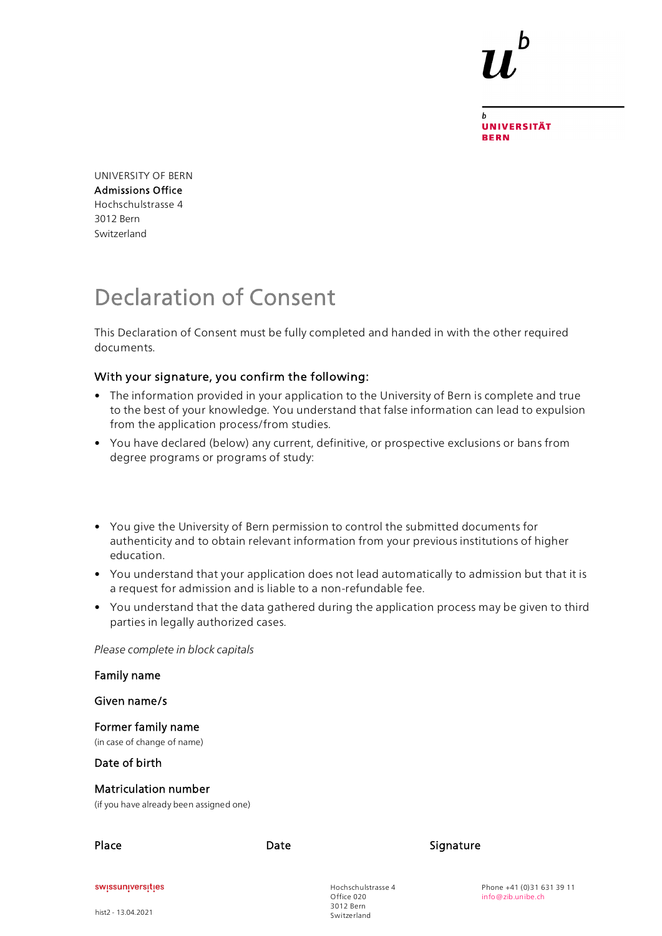**UNIVERSITÄT BERN** 

UNIVERSITY OF BERN Admissions Office Hochschulstrasse 4 3012 Bern Switzerland

# Declaration of Consent

This Declaration of Consent must be fully completed and handed in with the other required documents.

#### With your signature, you confirm the following:

- The information provided in your application to the University of Bern is complete and true to the best of your knowledge. You understand that false information can lead to expulsion from the application process/from studies.
- You have declared (below) any current, definitive, or prospective exclusions or bans from degree programs or programs of study:
- You give the University of Bern permission to control the submitted documents for authenticity and to obtain relevant information from your previous institutions of higher education.
- You understand that your application does not lead automatically to admission but that it is a request for admission and is liable to a non-refundable fee.
- You understand that the data gathered during the application process may be given to third parties in legally authorized cases.

*Please complete in block capitals*

hist2 - 13.04.2021

| Family name                                                     |      |                                               |           |                                                |
|-----------------------------------------------------------------|------|-----------------------------------------------|-----------|------------------------------------------------|
| Given name/s                                                    |      |                                               |           |                                                |
| Former family name<br>(in case of change of name)               |      |                                               |           |                                                |
| Date of birth                                                   |      |                                               |           |                                                |
| Matriculation number<br>(if you have already been assigned one) |      |                                               |           |                                                |
| Place                                                           | Date |                                               | Signature |                                                |
| swissuniversities                                               |      | Hochschulstrasse 4<br>Office 020<br>3012 Bern |           | Phone +41 (0)31 631 39 11<br>info@zib.unibe.ch |

Switzerland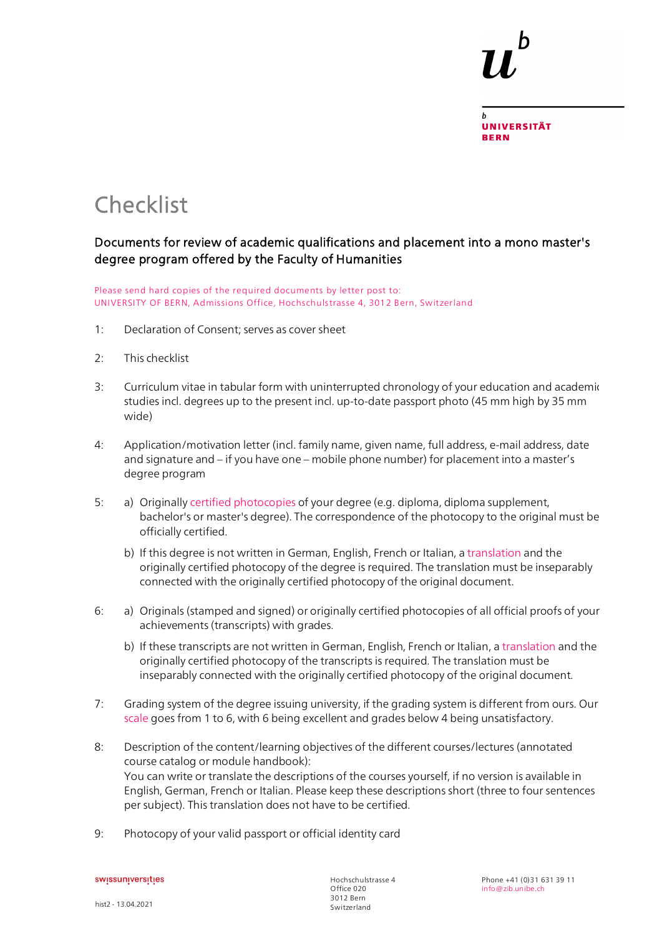

## **Checklist**

### Documents for review of academic qualifications and placement into a mono master's degree program offered by the Faculty of Humanities

Please send hard copies of the required documents by letter post to: UNIVERSITY OF BERN, Admissions Office, Hochschulstrasse 4, 3012 Bern, Switzerland

- 1: Declaration of Consent; serves as cover sheet
- 2: This checklist
- 3: Curriculum vitae in tabular form with uninterrupted chronology of your education and academic studies incl. degrees up to the present incl. up-to-date passport photo (45 mm high by 35 mm wide)
- 4: Application/motivation letter (incl. family name, given name, full address, e-mail address, date and signature and – if you have one – mobile phone number) for placement into a master's degree program
- 5: a) Originally [certified photocopies](http://www.unibe.ch/unibe/portal/content/e1006/e15237/e335901/Certifications-translation_ger.pdf) of your degree (e.g. diploma, diploma supplement, bachelor's or master's degree). The correspondence of the photocopy to the original must be officially certified.
	- b) If this degree is not written in German, English, French or Italian, a [translation](http://www.unibe.ch/unibe/portal/content/e1006/e15237/e335901/Certifications-translation_ger.pdf) and the originally certified photocopy of the degree is required. The translation must be inseparably connected with the originally certified photocopy of the original document.
- 6: a) Originals (stamped and signed) or originally certified photocopies of all official proofs of your achievements (transcripts) with grades.
	- b) If these transcripts are not written in German, English, French or Italian, a [translation](http://www.unibe.ch/unibe/portal/content/e1006/e15237/e335901/Certifications-translation_ger.pdf) and the originally certified photocopy of the transcripts is required. The translation must be inseparably connected with the originally certified photocopy of the original document.
- 7: Grading system of the degree issuing university, if the grading system is different from ours. Our [scale](http://www.unibe.ch/studies/programs/organization_and_structure/ects_credits_and_grading_system/index_eng.html) goes from 1 to 6, with 6 being excellent and grades below 4 being unsatisfactory.
- 8: Description of the content/learning objectives of the different courses/lectures (annotated course catalog or module handbook): You can write or translate the descriptions of the courses yourself, if no version is available in English, German, French or Italian. Please keep these descriptions short (three to four sentences per subject). This translation does not have to be certified.
- 9: Photocopy of your valid passport or official identity card